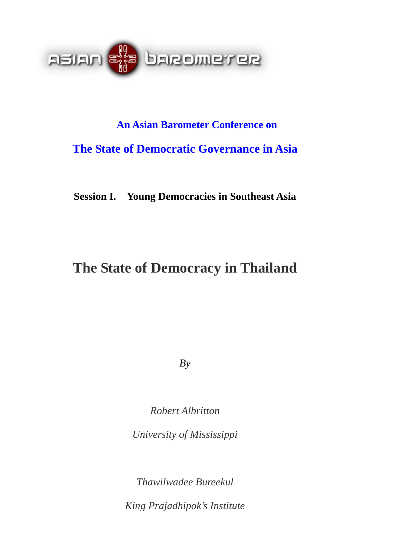

# **An Asian Barometer Conference on The State of Democratic Governance in Asia**

**Session I. Young Democracies in Southeast Asia** 

## **The State of Democracy in Thailand**

*By* 

*Robert Albritton* 

*University of Mississippi* 

*Thawilwadee Bureekul* 

*King Prajadhipok's Institute*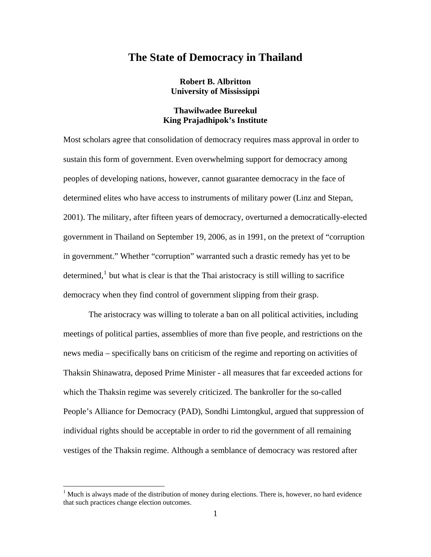### **The State of Democracy in Thailand**

**Robert B. Albritton University of Mississippi** 

#### **Thawilwadee Bureekul King Prajadhipok's Institute**

Most scholars agree that consolidation of democracy requires mass approval in order to sustain this form of government. Even overwhelming support for democracy among peoples of developing nations, however, cannot guarantee democracy in the face of determined elites who have access to instruments of military power (Linz and Stepan, 2001). The military, after fifteen years of democracy, overturned a democratically-elected government in Thailand on September 19, 2006, as in 1991, on the pretext of "corruption in government." Whether "corruption" warranted such a drastic remedy has yet to be determined, $<sup>1</sup>$  $<sup>1</sup>$  $<sup>1</sup>$  but what is clear is that the Thai aristocracy is still willing to sacrifice</sup> democracy when they find control of government slipping from their grasp.

 The aristocracy was willing to tolerate a ban on all political activities, including meetings of political parties, assemblies of more than five people, and restrictions on the news media – specifically bans on criticism of the regime and reporting on activities of Thaksin Shinawatra, deposed Prime Minister - all measures that far exceeded actions for which the Thaksin regime was severely criticized. The bankroller for the so-called People's Alliance for Democracy (PAD), Sondhi Limtongkul, argued that suppression of individual rights should be acceptable in order to rid the government of all remaining vestiges of the Thaksin regime. Although a semblance of democracy was restored after

<span id="page-1-0"></span> $1$  Much is always made of the distribution of money during elections. There is, however, no hard evidence that such practices change election outcomes.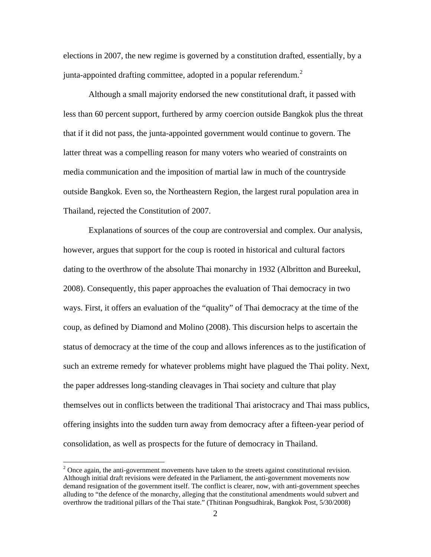elections in 2007, the new regime is governed by a constitution drafted, essentially, by a junta-appointed drafting committee, adopted in a popular referendum. $<sup>2</sup>$  $<sup>2</sup>$  $<sup>2</sup>$ </sup>

 Although a small majority endorsed the new constitutional draft, it passed with less than 60 percent support, furthered by army coercion outside Bangkok plus the threat that if it did not pass, the junta-appointed government would continue to govern. The latter threat was a compelling reason for many voters who wearied of constraints on media communication and the imposition of martial law in much of the countryside outside Bangkok. Even so, the Northeastern Region, the largest rural population area in Thailand, rejected the Constitution of 2007.

 Explanations of sources of the coup are controversial and complex. Our analysis, however, argues that support for the coup is rooted in historical and cultural factors dating to the overthrow of the absolute Thai monarchy in 1932 (Albritton and Bureekul, 2008). Consequently, this paper approaches the evaluation of Thai democracy in two ways. First, it offers an evaluation of the "quality" of Thai democracy at the time of the coup, as defined by Diamond and Molino (2008). This discursion helps to ascertain the status of democracy at the time of the coup and allows inferences as to the justification of such an extreme remedy for whatever problems might have plagued the Thai polity. Next, the paper addresses long-standing cleavages in Thai society and culture that play themselves out in conflicts between the traditional Thai aristocracy and Thai mass publics, offering insights into the sudden turn away from democracy after a fifteen-year period of consolidation, as well as prospects for the future of democracy in Thailand.

<span id="page-2-0"></span> $2$  Once again, the anti-government movements have taken to the streets against constitutional revision. Although initial draft revisions were defeated in the Parliament, the anti-government movements now demand resignation of the government itself. The conflict is clearer, now, with anti-government speeches alluding to "the defence of the monarchy, alleging that the constitutional amendments would subvert and overthrow the traditional pillars of the Thai state." (Thitinan Pongsudhirak, Bangkok Post, 5/30/2008)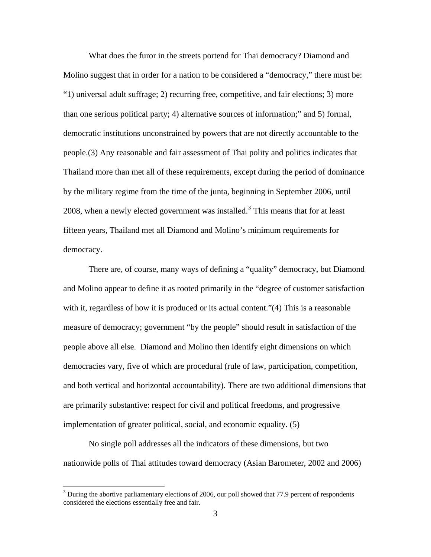What does the furor in the streets portend for Thai democracy? Diamond and Molino suggest that in order for a nation to be considered a "democracy," there must be: "1) universal adult suffrage; 2) recurring free, competitive, and fair elections; 3) more than one serious political party; 4) alternative sources of information;" and 5) formal, democratic institutions unconstrained by powers that are not directly accountable to the people.(3) Any reasonable and fair assessment of Thai polity and politics indicates that Thailand more than met all of these requirements, except during the period of dominance by the military regime from the time of the junta, beginning in September 2006, until 2008, when a newly elected government was installed.<sup>[3](#page-3-0)</sup> This means that for at least fifteen years, Thailand met all Diamond and Molino's minimum requirements for democracy.

 There are, of course, many ways of defining a "quality" democracy, but Diamond and Molino appear to define it as rooted primarily in the "degree of customer satisfaction with it, regardless of how it is produced or its actual content."(4) This is a reasonable measure of democracy; government "by the people" should result in satisfaction of the people above all else. Diamond and Molino then identify eight dimensions on which democracies vary, five of which are procedural (rule of law, participation, competition, and both vertical and horizontal accountability). There are two additional dimensions that are primarily substantive: respect for civil and political freedoms, and progressive implementation of greater political, social, and economic equality. (5)

 No single poll addresses all the indicators of these dimensions, but two nationwide polls of Thai attitudes toward democracy (Asian Barometer, 2002 and 2006)

<span id="page-3-0"></span> $3$  During the abortive parliamentary elections of 2006, our poll showed that 77.9 percent of respondents considered the elections essentially free and fair.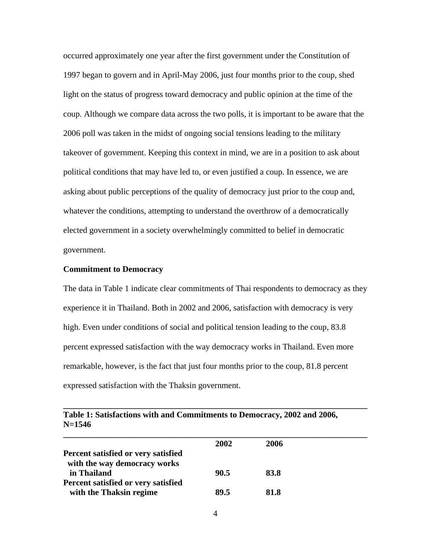occurred approximately one year after the first government under the Constitution of 1997 began to govern and in April-May 2006, just four months prior to the coup, shed light on the status of progress toward democracy and public opinion at the time of the coup. Although we compare data across the two polls, it is important to be aware that the 2006 poll was taken in the midst of ongoing social tensions leading to the military takeover of government. Keeping this context in mind, we are in a position to ask about political conditions that may have led to, or even justified a coup. In essence, we are asking about public perceptions of the quality of democracy just prior to the coup and, whatever the conditions, attempting to understand the overthrow of a democratically elected government in a society overwhelmingly committed to belief in democratic government.

#### **Commitment to Democracy**

The data in Table 1 indicate clear commitments of Thai respondents to democracy as they experience it in Thailand. Both in 2002 and 2006, satisfaction with democracy is very high. Even under conditions of social and political tension leading to the coup, 83.8 percent expressed satisfaction with the way democracy works in Thailand. Even more remarkable, however, is the fact that just four months prior to the coup, 81.8 percent expressed satisfaction with the Thaksin government.

**\_\_\_\_\_\_\_\_\_\_\_\_\_\_\_\_\_\_\_\_\_\_\_\_\_\_\_\_\_\_\_\_\_\_\_\_\_\_\_\_\_\_\_\_\_\_\_\_\_\_\_\_\_\_\_\_\_\_\_\_\_\_\_\_\_\_\_\_\_\_\_\_** 

|                                     | 2002 | 2006 |
|-------------------------------------|------|------|
| Percent satisfied or very satisfied |      |      |
| with the way democracy works        |      |      |
| in Thailand                         | 90.5 | 83.8 |
| Percent satisfied or very satisfied |      |      |
| with the Thaksin regime             | 89.5 | 81.8 |
|                                     |      |      |

| Table 1: Satisfactions with and Commitments to Democracy, 2002 and 2006, |  |  |
|--------------------------------------------------------------------------|--|--|
| $N = 1546$                                                               |  |  |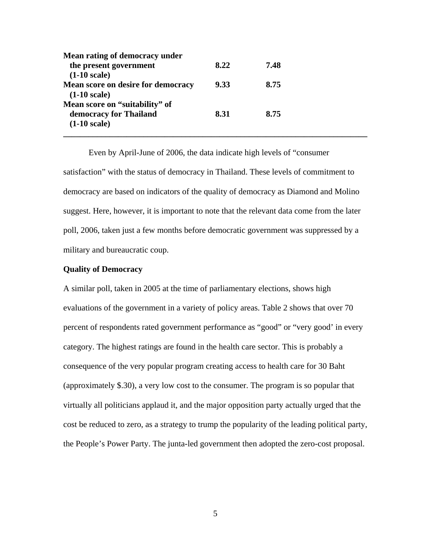| Mean rating of democracy under                       |      |      |  |
|------------------------------------------------------|------|------|--|
| the present government                               | 8.22 | 7.48 |  |
| $(1-10 scale)$                                       |      |      |  |
| Mean score on desire for democracy<br>$(1-10 scale)$ | 9.33 | 8.75 |  |
| Mean score on "suitability" of                       |      |      |  |
| democracy for Thailand                               | 8.31 | 8.75 |  |
| $(1-10 scale)$                                       |      |      |  |
|                                                      |      |      |  |

 Even by April-June of 2006, the data indicate high levels of "consumer satisfaction" with the status of democracy in Thailand. These levels of commitment to democracy are based on indicators of the quality of democracy as Diamond and Molino suggest. Here, however, it is important to note that the relevant data come from the later poll, 2006, taken just a few months before democratic government was suppressed by a military and bureaucratic coup.

#### **Quality of Democracy**

A similar poll, taken in 2005 at the time of parliamentary elections, shows high evaluations of the government in a variety of policy areas. Table 2 shows that over 70 percent of respondents rated government performance as "good" or "very good' in every category. The highest ratings are found in the health care sector. This is probably a consequence of the very popular program creating access to health care for 30 Baht (approximately \$.30), a very low cost to the consumer. The program is so popular that virtually all politicians applaud it, and the major opposition party actually urged that the cost be reduced to zero, as a strategy to trump the popularity of the leading political party, the People's Power Party. The junta-led government then adopted the zero-cost proposal.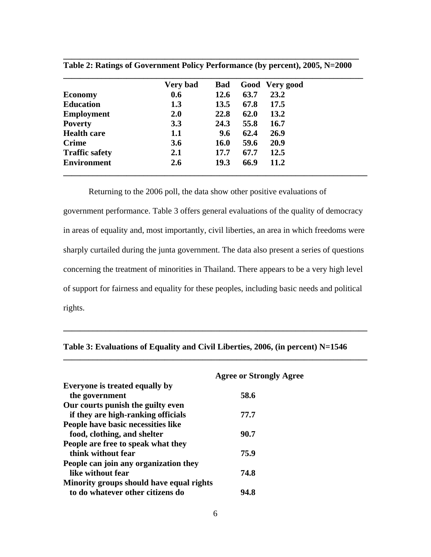|                       | Very bad   | <b>Bad</b>  |      | Good Very good |
|-----------------------|------------|-------------|------|----------------|
| <b>Economy</b>        | 0.6        | 12.6        | 63.7 | 23.2           |
| <b>Education</b>      | 1.3        | 13.5        | 67.8 | 17.5           |
| <b>Employment</b>     | <b>2.0</b> | 22.8        | 62.0 | 13.2           |
| <b>Poverty</b>        | 3.3        | 24.3        | 55.8 | 16.7           |
| <b>Health care</b>    | 1.1        | 9.6         | 62.4 | 26.9           |
| <b>Crime</b>          | <b>3.6</b> | <b>16.0</b> | 59.6 | 20.9           |
| <b>Traffic safety</b> | 2.1        | 17.7        | 67.7 | 12.5           |
| <b>Environment</b>    | 2.6        | 19.3        | 66.9 | 11.2           |

**\_\_\_\_\_\_\_\_\_\_\_\_\_\_\_\_\_\_\_\_\_\_\_\_\_\_\_\_\_\_\_\_\_\_\_\_\_\_\_\_\_\_\_\_\_\_\_\_\_\_\_\_\_\_\_\_\_\_\_\_\_\_\_\_\_\_\_\_\_\_ Table 2: Ratings of Government Policy Performance (by percent), 2005, N=2000** 

Returning to the 2006 poll, the data show other positive evaluations of

government performance. Table 3 offers general evaluations of the quality of democracy in areas of equality and, most importantly, civil liberties, an area in which freedoms were sharply curtailed during the junta government. The data also present a series of questions concerning the treatment of minorities in Thailand. There appears to be a very high level of support for fairness and equality for these peoples, including basic needs and political rights.

| <b>Agree or Strongly Agree</b>           |
|------------------------------------------|
|                                          |
| 58.6                                     |
|                                          |
| 77.7                                     |
|                                          |
| 90.7                                     |
|                                          |
| 75.9                                     |
|                                          |
| 74.8                                     |
| Minority groups should have equal rights |
| 94.8                                     |
|                                          |

| Table 3: Evaluations of Equality and Civil Liberties, 2006, (in percent) N=1546 |  |  |  |  |  |  |  |  |
|---------------------------------------------------------------------------------|--|--|--|--|--|--|--|--|
|---------------------------------------------------------------------------------|--|--|--|--|--|--|--|--|

**\_\_\_\_\_\_\_\_\_\_\_\_\_\_\_\_\_\_\_\_\_\_\_\_\_\_\_\_\_\_\_\_\_\_\_\_\_\_\_\_\_\_\_\_\_\_\_\_\_\_\_\_\_\_\_\_\_\_\_\_\_\_\_\_\_\_\_\_\_\_\_\_** 

**\_\_\_\_\_\_\_\_\_\_\_\_\_\_\_\_\_\_\_\_\_\_\_\_\_\_\_\_\_\_\_\_\_\_\_\_\_\_\_\_\_\_\_\_\_\_\_\_\_\_\_\_\_\_\_\_\_\_\_\_\_\_\_\_\_\_\_\_\_\_\_\_**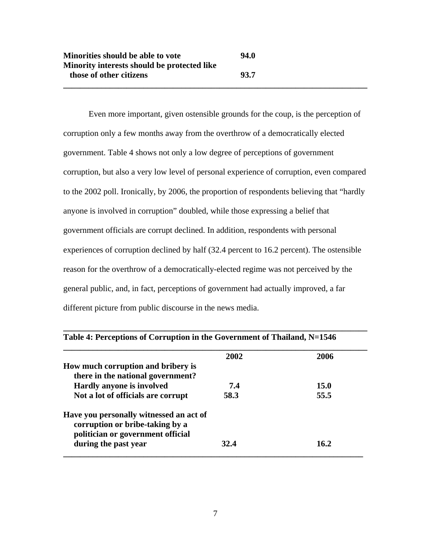Even more important, given ostensible grounds for the coup, is the perception of corruption only a few months away from the overthrow of a democratically elected government. Table 4 shows not only a low degree of perceptions of government corruption, but also a very low level of personal experience of corruption, even compared to the 2002 poll. Ironically, by 2006, the proportion of respondents believing that "hardly anyone is involved in corruption" doubled, while those expressing a belief that government officials are corrupt declined. In addition, respondents with personal experiences of corruption declined by half (32.4 percent to 16.2 percent). The ostensible reason for the overthrow of a democratically-elected regime was not perceived by the general public, and, in fact, perceptions of government had actually improved, a far different picture from public discourse in the news media.

**\_\_\_\_\_\_\_\_\_\_\_\_\_\_\_\_\_\_\_\_\_\_\_\_\_\_\_\_\_\_\_\_\_\_\_\_\_\_\_\_\_\_\_\_\_\_\_\_\_\_\_\_\_\_\_\_\_\_\_\_\_\_\_\_\_\_\_\_\_\_\_\_** 

|                                         | 2002 | 2006 |
|-----------------------------------------|------|------|
| How much corruption and bribery is      |      |      |
| there in the national government?       |      |      |
| <b>Hardly anyone is involved</b>        | 7.4  | 15.0 |
| Not a lot of officials are corrupt      | 58.3 | 55.5 |
| Have you personally witnessed an act of |      |      |
| corruption or bribe-taking by a         |      |      |
| politician or government official       |      |      |
| during the past year                    | 32.4 | 16.2 |

| Table 4: Perceptions of Corruption in the Government of Thailand, N=1546 |  |
|--------------------------------------------------------------------------|--|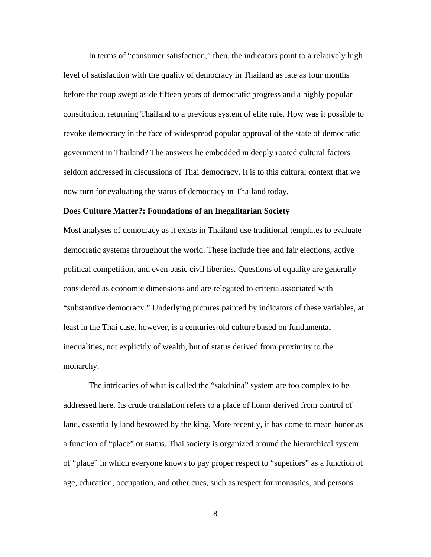In terms of "consumer satisfaction," then, the indicators point to a relatively high level of satisfaction with the quality of democracy in Thailand as late as four months before the coup swept aside fifteen years of democratic progress and a highly popular constitution, returning Thailand to a previous system of elite rule. How was it possible to revoke democracy in the face of widespread popular approval of the state of democratic government in Thailand? The answers lie embedded in deeply rooted cultural factors seldom addressed in discussions of Thai democracy. It is to this cultural context that we now turn for evaluating the status of democracy in Thailand today.

#### **Does Culture Matter?: Foundations of an Inegalitarian Society**

Most analyses of democracy as it exists in Thailand use traditional templates to evaluate democratic systems throughout the world. These include free and fair elections, active political competition, and even basic civil liberties. Questions of equality are generally considered as economic dimensions and are relegated to criteria associated with "substantive democracy." Underlying pictures painted by indicators of these variables, at least in the Thai case, however, is a centuries-old culture based on fundamental inequalities, not explicitly of wealth, but of status derived from proximity to the monarchy.

 The intricacies of what is called the "sakdhina" system are too complex to be addressed here. Its crude translation refers to a place of honor derived from control of land, essentially land bestowed by the king. More recently, it has come to mean honor as a function of "place" or status. Thai society is organized around the hierarchical system of "place" in which everyone knows to pay proper respect to "superiors" as a function of age, education, occupation, and other cues, such as respect for monastics, and persons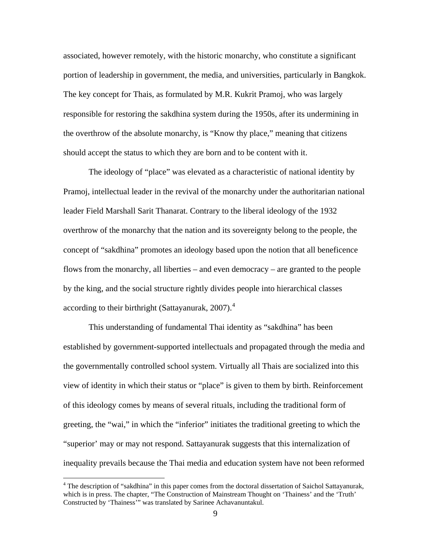associated, however remotely, with the historic monarchy, who constitute a significant portion of leadership in government, the media, and universities, particularly in Bangkok. The key concept for Thais, as formulated by M.R. Kukrit Pramoj, who was largely responsible for restoring the sakdhina system during the 1950s, after its undermining in the overthrow of the absolute monarchy, is "Know thy place," meaning that citizens should accept the status to which they are born and to be content with it.

 The ideology of "place" was elevated as a characteristic of national identity by Pramoj, intellectual leader in the revival of the monarchy under the authoritarian national leader Field Marshall Sarit Thanarat. Contrary to the liberal ideology of the 1932 overthrow of the monarchy that the nation and its sovereignty belong to the people, the concept of "sakdhina" promotes an ideology based upon the notion that all beneficence flows from the monarchy, all liberties – and even democracy – are granted to the people by the king, and the social structure rightly divides people into hierarchical classes according to their birthright (Sattayanurak,  $2007$ ).<sup>[4](#page-9-0)</sup>

 This understanding of fundamental Thai identity as "sakdhina" has been established by government-supported intellectuals and propagated through the media and the governmentally controlled school system. Virtually all Thais are socialized into this view of identity in which their status or "place" is given to them by birth. Reinforcement of this ideology comes by means of several rituals, including the traditional form of greeting, the "wai," in which the "inferior" initiates the traditional greeting to which the "superior' may or may not respond. Sattayanurak suggests that this internalization of inequality prevails because the Thai media and education system have not been reformed

<span id="page-9-0"></span><sup>&</sup>lt;sup>4</sup> The description of "sakdhina" in this paper comes from the doctoral dissertation of Saichol Sattayanurak, which is in press. The chapter, "The Construction of Mainstream Thought on 'Thainess' and the 'Truth' Constructed by 'Thainess'" was translated by Sarinee Achavanuntakul.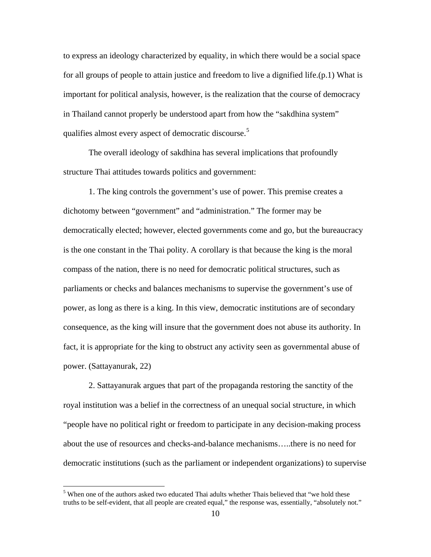to express an ideology characterized by equality, in which there would be a social space for all groups of people to attain justice and freedom to live a dignified life.(p.1) What is important for political analysis, however, is the realization that the course of democracy in Thailand cannot properly be understood apart from how the "sakdhina system" qualifies almost every aspect of democratic discourse.<sup>[5](#page-10-0)</sup>

 The overall ideology of sakdhina has several implications that profoundly structure Thai attitudes towards politics and government:

 1. The king controls the government's use of power. This premise creates a dichotomy between "government" and "administration." The former may be democratically elected; however, elected governments come and go, but the bureaucracy is the one constant in the Thai polity. A corollary is that because the king is the moral compass of the nation, there is no need for democratic political structures, such as parliaments or checks and balances mechanisms to supervise the government's use of power, as long as there is a king. In this view, democratic institutions are of secondary consequence, as the king will insure that the government does not abuse its authority. In fact, it is appropriate for the king to obstruct any activity seen as governmental abuse of power. (Sattayanurak, 22)

 2. Sattayanurak argues that part of the propaganda restoring the sanctity of the royal institution was a belief in the correctness of an unequal social structure, in which "people have no political right or freedom to participate in any decision-making process about the use of resources and checks-and-balance mechanisms…..there is no need for democratic institutions (such as the parliament or independent organizations) to supervise

<span id="page-10-0"></span><sup>&</sup>lt;sup>5</sup> When one of the authors asked two educated Thai adults whether Thais believed that "we hold these truths to be self-evident, that all people are created equal," the response was, essentially, "absolutely not."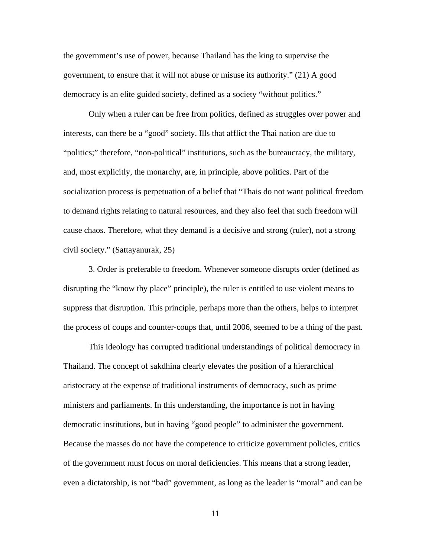the government's use of power, because Thailand has the king to supervise the government, to ensure that it will not abuse or misuse its authority." (21) A good democracy is an elite guided society, defined as a society "without politics."

 Only when a ruler can be free from politics, defined as struggles over power and interests, can there be a "good" society. Ills that afflict the Thai nation are due to "politics;" therefore, "non-political" institutions, such as the bureaucracy, the military, and, most explicitly, the monarchy, are, in principle, above politics. Part of the socialization process is perpetuation of a belief that "Thais do not want political freedom to demand rights relating to natural resources, and they also feel that such freedom will cause chaos. Therefore, what they demand is a decisive and strong (ruler), not a strong civil society." (Sattayanurak, 25)

 3. Order is preferable to freedom. Whenever someone disrupts order (defined as disrupting the "know thy place" principle), the ruler is entitled to use violent means to suppress that disruption. This principle, perhaps more than the others, helps to interpret the process of coups and counter-coups that, until 2006, seemed to be a thing of the past.

 This ideology has corrupted traditional understandings of political democracy in Thailand. The concept of sakdhina clearly elevates the position of a hierarchical aristocracy at the expense of traditional instruments of democracy, such as prime ministers and parliaments. In this understanding, the importance is not in having democratic institutions, but in having "good people" to administer the government. Because the masses do not have the competence to criticize government policies, critics of the government must focus on moral deficiencies. This means that a strong leader, even a dictatorship, is not "bad" government, as long as the leader is "moral" and can be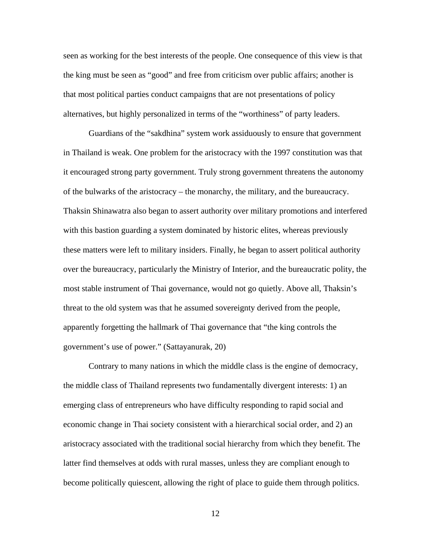seen as working for the best interests of the people. One consequence of this view is that the king must be seen as "good" and free from criticism over public affairs; another is that most political parties conduct campaigns that are not presentations of policy alternatives, but highly personalized in terms of the "worthiness" of party leaders.

 Guardians of the "sakdhina" system work assiduously to ensure that government in Thailand is weak. One problem for the aristocracy with the 1997 constitution was that it encouraged strong party government. Truly strong government threatens the autonomy of the bulwarks of the aristocracy – the monarchy, the military, and the bureaucracy. Thaksin Shinawatra also began to assert authority over military promotions and interfered with this bastion guarding a system dominated by historic elites, whereas previously these matters were left to military insiders. Finally, he began to assert political authority over the bureaucracy, particularly the Ministry of Interior, and the bureaucratic polity, the most stable instrument of Thai governance, would not go quietly. Above all, Thaksin's threat to the old system was that he assumed sovereignty derived from the people, apparently forgetting the hallmark of Thai governance that "the king controls the government's use of power." (Sattayanurak, 20)

 Contrary to many nations in which the middle class is the engine of democracy, the middle class of Thailand represents two fundamentally divergent interests: 1) an emerging class of entrepreneurs who have difficulty responding to rapid social and economic change in Thai society consistent with a hierarchical social order, and 2) an aristocracy associated with the traditional social hierarchy from which they benefit. The latter find themselves at odds with rural masses, unless they are compliant enough to become politically quiescent, allowing the right of place to guide them through politics.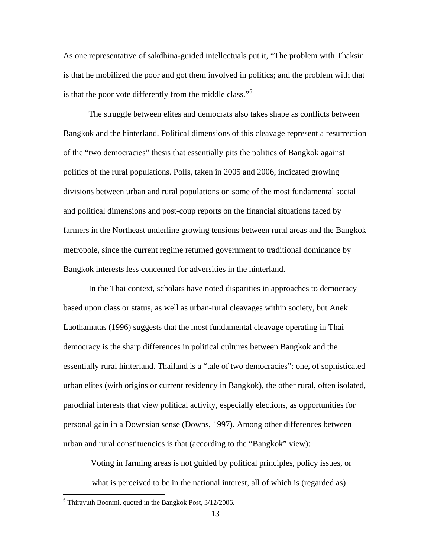As one representative of sakdhina-guided intellectuals put it, "The problem with Thaksin is that he mobilized the poor and got them involved in politics; and the problem with that is that the poor vote differently from the middle class."<sup>[6](#page-13-0)</sup>

 The struggle between elites and democrats also takes shape as conflicts between Bangkok and the hinterland. Political dimensions of this cleavage represent a resurrection of the "two democracies" thesis that essentially pits the politics of Bangkok against politics of the rural populations. Polls, taken in 2005 and 2006, indicated growing divisions between urban and rural populations on some of the most fundamental social and political dimensions and post-coup reports on the financial situations faced by farmers in the Northeast underline growing tensions between rural areas and the Bangkok metropole, since the current regime returned government to traditional dominance by Bangkok interests less concerned for adversities in the hinterland.

In the Thai context, scholars have noted disparities in approaches to democracy based upon class or status, as well as urban-rural cleavages within society, but Anek Laothamatas (1996) suggests that the most fundamental cleavage operating in Thai democracy is the sharp differences in political cultures between Bangkok and the essentially rural hinterland. Thailand is a "tale of two democracies": one, of sophisticated urban elites (with origins or current residency in Bangkok), the other rural, often isolated, parochial interests that view political activity, especially elections, as opportunities for personal gain in a Downsian sense (Downs, 1997). Among other differences between urban and rural constituencies is that (according to the "Bangkok" view):

 Voting in farming areas is not guided by political principles, policy issues, or what is perceived to be in the national interest, all of which is (regarded as)

<span id="page-13-0"></span><sup>6</sup> Thirayuth Boonmi, quoted in the Bangkok Post, 3/12/2006.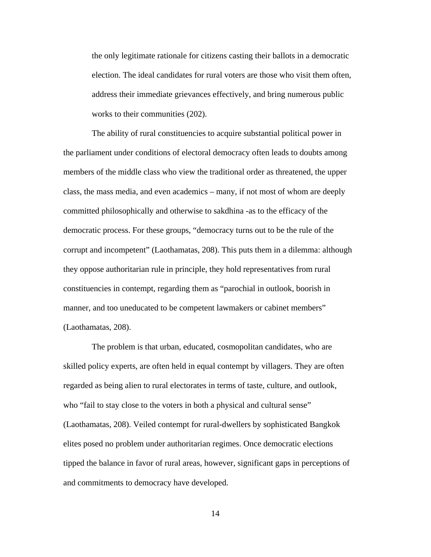the only legitimate rationale for citizens casting their ballots in a democratic election. The ideal candidates for rural voters are those who visit them often, address their immediate grievances effectively, and bring numerous public works to their communities (202).

 The ability of rural constituencies to acquire substantial political power in the parliament under conditions of electoral democracy often leads to doubts among members of the middle class who view the traditional order as threatened, the upper class, the mass media, and even academics – many, if not most of whom are deeply committed philosophically and otherwise to sakdhina -as to the efficacy of the democratic process. For these groups, "democracy turns out to be the rule of the corrupt and incompetent" (Laothamatas, 208). This puts them in a dilemma: although they oppose authoritarian rule in principle, they hold representatives from rural constituencies in contempt, regarding them as "parochial in outlook, boorish in manner, and too uneducated to be competent lawmakers or cabinet members" (Laothamatas, 208).

 The problem is that urban, educated, cosmopolitan candidates, who are skilled policy experts, are often held in equal contempt by villagers. They are often regarded as being alien to rural electorates in terms of taste, culture, and outlook, who "fail to stay close to the voters in both a physical and cultural sense" (Laothamatas, 208). Veiled contempt for rural-dwellers by sophisticated Bangkok elites posed no problem under authoritarian regimes. Once democratic elections tipped the balance in favor of rural areas, however, significant gaps in perceptions of and commitments to democracy have developed.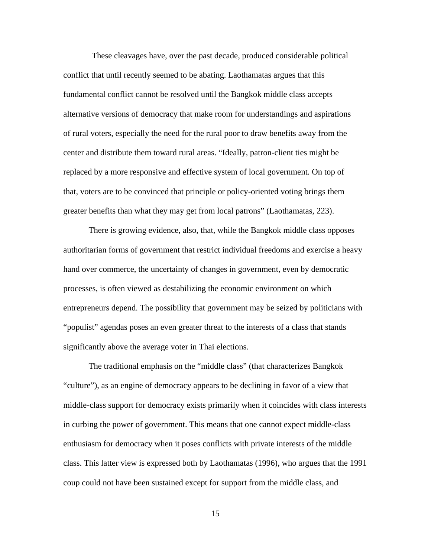These cleavages have, over the past decade, produced considerable political conflict that until recently seemed to be abating. Laothamatas argues that this fundamental conflict cannot be resolved until the Bangkok middle class accepts alternative versions of democracy that make room for understandings and aspirations of rural voters, especially the need for the rural poor to draw benefits away from the center and distribute them toward rural areas. "Ideally, patron-client ties might be replaced by a more responsive and effective system of local government. On top of that, voters are to be convinced that principle or policy-oriented voting brings them greater benefits than what they may get from local patrons" (Laothamatas, 223).

There is growing evidence, also, that, while the Bangkok middle class opposes authoritarian forms of government that restrict individual freedoms and exercise a heavy hand over commerce, the uncertainty of changes in government, even by democratic processes, is often viewed as destabilizing the economic environment on which entrepreneurs depend. The possibility that government may be seized by politicians with "populist" agendas poses an even greater threat to the interests of a class that stands significantly above the average voter in Thai elections.

The traditional emphasis on the "middle class" (that characterizes Bangkok "culture"), as an engine of democracy appears to be declining in favor of a view that middle-class support for democracy exists primarily when it coincides with class interests in curbing the power of government. This means that one cannot expect middle-class enthusiasm for democracy when it poses conflicts with private interests of the middle class. This latter view is expressed both by Laothamatas (1996), who argues that the 1991 coup could not have been sustained except for support from the middle class, and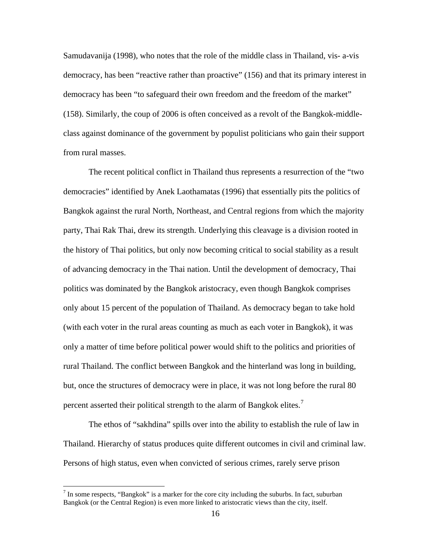Samudavanija (1998), who notes that the role of the middle class in Thailand, vis- a-vis democracy, has been "reactive rather than proactive" (156) and that its primary interest in democracy has been "to safeguard their own freedom and the freedom of the market" (158). Similarly, the coup of 2006 is often conceived as a revolt of the Bangkok-middleclass against dominance of the government by populist politicians who gain their support from rural masses.

 The recent political conflict in Thailand thus represents a resurrection of the "two democracies" identified by Anek Laothamatas (1996) that essentially pits the politics of Bangkok against the rural North, Northeast, and Central regions from which the majority party, Thai Rak Thai, drew its strength. Underlying this cleavage is a division rooted in the history of Thai politics, but only now becoming critical to social stability as a result of advancing democracy in the Thai nation. Until the development of democracy, Thai politics was dominated by the Bangkok aristocracy, even though Bangkok comprises only about 15 percent of the population of Thailand. As democracy began to take hold (with each voter in the rural areas counting as much as each voter in Bangkok), it was only a matter of time before political power would shift to the politics and priorities of rural Thailand. The conflict between Bangkok and the hinterland was long in building, but, once the structures of democracy were in place, it was not long before the rural 80 percent asserted their political strength to the alarm of Bangkok elites.<sup>[7](#page-16-0)</sup>

 The ethos of "sakhdina" spills over into the ability to establish the rule of law in Thailand. Hierarchy of status produces quite different outcomes in civil and criminal law. Persons of high status, even when convicted of serious crimes, rarely serve prison

<span id="page-16-0"></span><sup>&</sup>lt;sup>7</sup> In some respects, "Bangkok" is a marker for the core city including the suburbs. In fact, suburban Bangkok (or the Central Region) is even more linked to aristocratic views than the city, itself.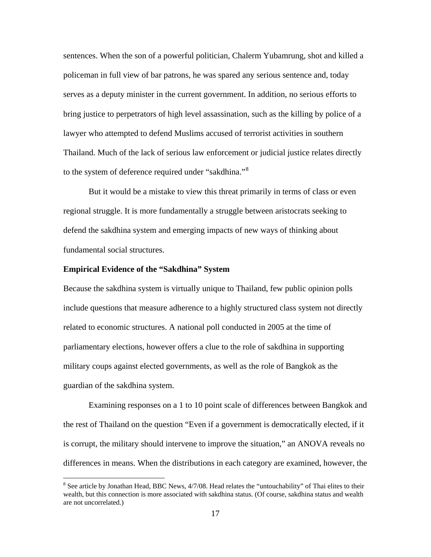sentences. When the son of a powerful politician, Chalerm Yubamrung, shot and killed a policeman in full view of bar patrons, he was spared any serious sentence and, today serves as a deputy minister in the current government. In addition, no serious efforts to bring justice to perpetrators of high level assassination, such as the killing by police of a lawyer who attempted to defend Muslims accused of terrorist activities in southern Thailand. Much of the lack of serious law enforcement or judicial justice relates directly to the system of deference required under "sakdhina."<sup>[8](#page-17-0)</sup>

 But it would be a mistake to view this threat primarily in terms of class or even regional struggle. It is more fundamentally a struggle between aristocrats seeking to defend the sakdhina system and emerging impacts of new ways of thinking about fundamental social structures.

#### **Empirical Evidence of the "Sakdhina" System**

 $\overline{a}$ 

Because the sakdhina system is virtually unique to Thailand, few public opinion polls include questions that measure adherence to a highly structured class system not directly related to economic structures. A national poll conducted in 2005 at the time of parliamentary elections, however offers a clue to the role of sakdhina in supporting military coups against elected governments, as well as the role of Bangkok as the guardian of the sakdhina system.

 Examining responses on a 1 to 10 point scale of differences between Bangkok and the rest of Thailand on the question "Even if a government is democratically elected, if it is corrupt, the military should intervene to improve the situation," an ANOVA reveals no differences in means. When the distributions in each category are examined, however, the

<span id="page-17-0"></span><sup>&</sup>lt;sup>8</sup> See article by Jonathan Head, BBC News, 4/7/08. Head relates the "untouchability" of Thai elites to their wealth, but this connection is more associated with sakdhina status. (Of course, sakdhina status and wealth are not uncorrelated.)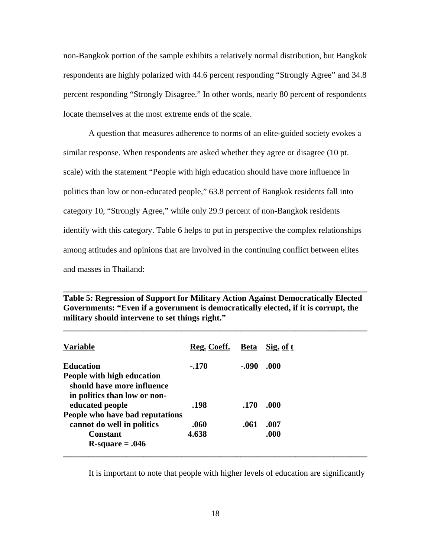non-Bangkok portion of the sample exhibits a relatively normal distribution, but Bangkok respondents are highly polarized with 44.6 percent responding "Strongly Agree" and 34.8 percent responding "Strongly Disagree." In other words, nearly 80 percent of respondents locate themselves at the most extreme ends of the scale.

 A question that measures adherence to norms of an elite-guided society evokes a similar response. When respondents are asked whether they agree or disagree (10 pt. scale) with the statement "People with high education should have more influence in politics than low or non-educated people," 63.8 percent of Bangkok residents fall into category 10, "Strongly Agree," while only 29.9 percent of non-Bangkok residents identify with this category. Table 6 helps to put in perspective the complex relationships among attitudes and opinions that are involved in the continuing conflict between elites and masses in Thailand:

**Table 5: Regression of Support for Military Action Against Democratically Elected Governments: "Even if a government is democratically elected, if it is corrupt, the military should intervene to set things right."** 

**\_\_\_\_\_\_\_\_\_\_\_\_\_\_\_\_\_\_\_\_\_\_\_\_\_\_\_\_\_\_\_\_\_\_\_\_\_\_\_\_\_\_\_\_\_\_\_\_\_\_\_\_\_\_\_\_\_\_\_\_\_\_\_\_\_\_\_\_\_\_\_\_** 

**\_\_\_\_\_\_\_\_\_\_\_\_\_\_\_\_\_\_\_\_\_\_\_\_\_\_\_\_\_\_\_\_\_\_\_\_\_\_\_\_\_\_\_\_\_\_\_\_\_\_\_\_\_\_\_\_\_\_\_\_\_\_\_\_\_\_\_\_\_\_\_\_** 

| <b>Variable</b>                                               | Reg. Coeff. | <b>Beta</b> | Sig. of t |
|---------------------------------------------------------------|-------------|-------------|-----------|
| <b>Education</b>                                              | $-.170$     | $-.090$     | .000      |
| People with high education<br>should have more influence      |             |             |           |
| in politics than low or non-<br>educated people               | .198        | .170        | .000      |
| People who have bad reputations<br>cannot do well in politics | .060        | .061        | .007      |
| Constant                                                      | 4.638       |             | .000      |
| $R$ -square = .046                                            |             |             |           |

It is important to note that people with higher levels of education are significantly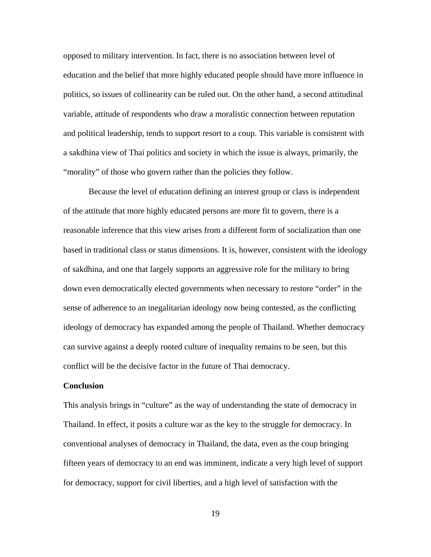opposed to military intervention. In fact, there is no association between level of education and the belief that more highly educated people should have more influence in politics, so issues of collinearity can be ruled out. On the other hand, a second attitudinal variable, attitude of respondents who draw a moralistic connection between reputation and political leadership, tends to support resort to a coup. This variable is consistent with a sakdhina view of Thai politics and society in which the issue is always, primarily, the "morality" of those who govern rather than the policies they follow.

 Because the level of education defining an interest group or class is independent of the attitude that more highly educated persons are more fit to govern, there is a reasonable inference that this view arises from a different form of socialization than one based in traditional class or status dimensions. It is, however, consistent with the ideology of sakdhina, and one that largely supports an aggressive role for the military to bring down even democratically elected governments when necessary to restore "order" in the sense of adherence to an inegalitarian ideology now being contested, as the conflicting ideology of democracy has expanded among the people of Thailand. Whether democracy can survive against a deeply rooted culture of inequality remains to be seen, but this conflict will be the decisive factor in the future of Thai democracy.

#### **Conclusion**

This analysis brings in "culture" as the way of understanding the state of democracy in Thailand. In effect, it posits a culture war as the key to the struggle for democracy. In conventional analyses of democracy in Thailand, the data, even as the coup bringing fifteen years of democracy to an end was imminent, indicate a very high level of support for democracy, support for civil liberties, and a high level of satisfaction with the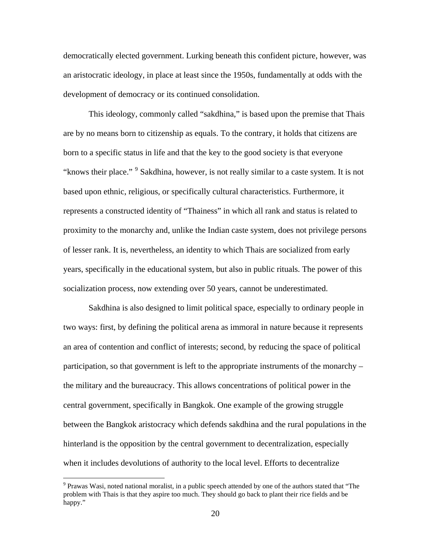democratically elected government. Lurking beneath this confident picture, however, was an aristocratic ideology, in place at least since the 1950s, fundamentally at odds with the development of democracy or its continued consolidation.

 This ideology, commonly called "sakdhina," is based upon the premise that Thais are by no means born to citizenship as equals. To the contrary, it holds that citizens are born to a specific status in life and that the key to the good society is that everyone "knows their place."<sup>[9](#page-20-0)</sup> Sakdhina, however, is not really similar to a caste system. It is not based upon ethnic, religious, or specifically cultural characteristics. Furthermore, it represents a constructed identity of "Thainess" in which all rank and status is related to proximity to the monarchy and, unlike the Indian caste system, does not privilege persons of lesser rank. It is, nevertheless, an identity to which Thais are socialized from early years, specifically in the educational system, but also in public rituals. The power of this socialization process, now extending over 50 years, cannot be underestimated.

 Sakdhina is also designed to limit political space, especially to ordinary people in two ways: first, by defining the political arena as immoral in nature because it represents an area of contention and conflict of interests; second, by reducing the space of political participation, so that government is left to the appropriate instruments of the monarchy – the military and the bureaucracy. This allows concentrations of political power in the central government, specifically in Bangkok. One example of the growing struggle between the Bangkok aristocracy which defends sakdhina and the rural populations in the hinterland is the opposition by the central government to decentralization, especially when it includes devolutions of authority to the local level. Efforts to decentralize

<span id="page-20-0"></span><sup>&</sup>lt;sup>9</sup> Prawas Wasi, noted national moralist, in a public speech attended by one of the authors stated that "The problem with Thais is that they aspire too much. They should go back to plant their rice fields and be happy."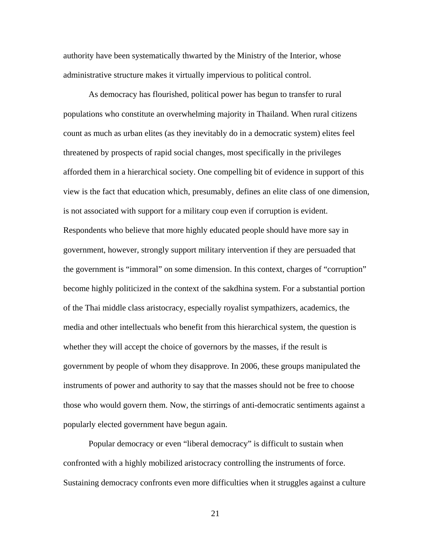authority have been systematically thwarted by the Ministry of the Interior, whose administrative structure makes it virtually impervious to political control.

 As democracy has flourished, political power has begun to transfer to rural populations who constitute an overwhelming majority in Thailand. When rural citizens count as much as urban elites (as they inevitably do in a democratic system) elites feel threatened by prospects of rapid social changes, most specifically in the privileges afforded them in a hierarchical society. One compelling bit of evidence in support of this view is the fact that education which, presumably, defines an elite class of one dimension, is not associated with support for a military coup even if corruption is evident. Respondents who believe that more highly educated people should have more say in government, however, strongly support military intervention if they are persuaded that the government is "immoral" on some dimension. In this context, charges of "corruption" become highly politicized in the context of the sakdhina system. For a substantial portion of the Thai middle class aristocracy, especially royalist sympathizers, academics, the media and other intellectuals who benefit from this hierarchical system, the question is whether they will accept the choice of governors by the masses, if the result is government by people of whom they disapprove. In 2006, these groups manipulated the instruments of power and authority to say that the masses should not be free to choose those who would govern them. Now, the stirrings of anti-democratic sentiments against a popularly elected government have begun again.

 Popular democracy or even "liberal democracy" is difficult to sustain when confronted with a highly mobilized aristocracy controlling the instruments of force. Sustaining democracy confronts even more difficulties when it struggles against a culture